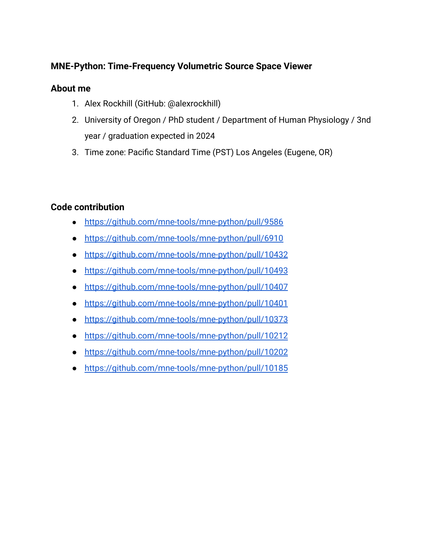# **MNE-Python: Time-Frequency Volumetric Source Space Viewer**

## **About me**

- 1. Alex Rockhill (GitHub: @alexrockhill)
- 2. University of Oregon / PhD student / Department of Human Physiology / 3nd year / graduation expected in 2024
- 3. Time zone: Pacific Standard Time (PST) Los Angeles (Eugene, OR)

## **Code contribution**

- <https://github.com/mne-tools/mne-python/pull/9586>
- <https://github.com/mne-tools/mne-python/pull/6910>
- <https://github.com/mne-tools/mne-python/pull/10432>
- <https://github.com/mne-tools/mne-python/pull/10493>
- <https://github.com/mne-tools/mne-python/pull/10407>
- <https://github.com/mne-tools/mne-python/pull/10401>
- <https://github.com/mne-tools/mne-python/pull/10373>
- <https://github.com/mne-tools/mne-python/pull/10212>
- <https://github.com/mne-tools/mne-python/pull/10202>
- <https://github.com/mne-tools/mne-python/pull/10185>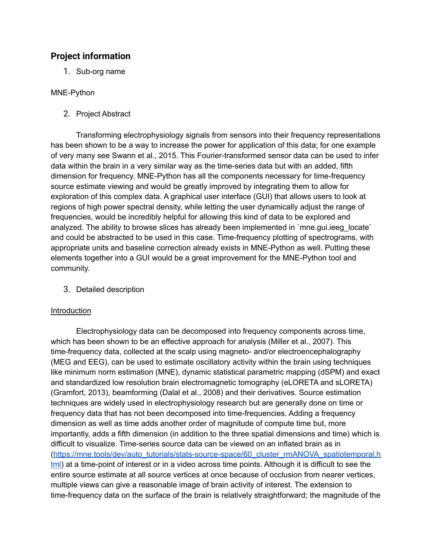### **Project information**

1. Sub-org name

#### MNE-Python

2. Project Abstract

Transforming electrophysiology signals from sensors into their frequency representations has been shown to be a way to increase the power for application of this data; for one example of very many see [Swann](https://www.zotero.org/google-docs/?llhqaX) et al., 2015. This Fourier-transformed sensor data can be used to infer data within the brain in a very similar way as the time-series data but with an added, fifth dimension for frequency. MNE-Python has all the components necessary for time-frequency source estimate viewing and would be greatly improved by integrating them to allow for exploration of this complex data. A graphical user interface (GUI) that allows users to look at regions of high power spectral density, while letting the user dynamically adjust the range of frequencies, would be incredibly helpful for allowing this kind of data to be explored and analyzed. The ability to browse slices has already been implemented in `mne.gui.ieeg\_locate` and could be abstracted to be used in this case. Time-frequency plotting of spectrograms, with appropriate units and baseline correction already exists in MNE-Python as well. Putting these elements together into a GUI would be a great improvement for the MNE-Python tool and community.

3. Detailed description

#### Introduction

Electrophysiology data can be decomposed into frequency components across time, which has been shown to be an effective approach for analysis [\(Miller](https://www.zotero.org/google-docs/?VBaDx9) et al., 2007). This time-frequency data, collected at the scalp using magneto- and/or electroencephalography (MEG and EEG), can be used to estimate oscillatory activity within the brain using techniques like minimum norm estimation (MNE), dynamic statistical parametric mapping (dSPM) and exact and standardized low resolution brain electromagnetic tomography (eLORETA and sLORETA) [\(Gramfort,](https://www.zotero.org/google-docs/?mzoUqS) 2013), beamforming [\(Dalal](https://www.zotero.org/google-docs/?UHt1bh) et al., 2008) and their derivatives. Source estimation techniques are widely used in electrophysiology research but are generally done on time or frequency data that has not been decomposed into time-frequencies. Adding a frequency dimension as well as time adds another order of magnitude of compute time but, more importantly, adds a fifth dimension (in addition to the three spatial dimensions and time) which is difficult to visualize. Time-series source data can be viewed on an inflated brain as in ([https://mne.tools/dev/auto\\_tutorials/stats-source-space/60\\_cluster\\_rmANOVA\\_spatiotemporal.h](https://mne.tools/dev/auto_tutorials/stats-source-space/60_cluster_rmANOVA_spatiotemporal.html) [tml\)](https://mne.tools/dev/auto_tutorials/stats-source-space/60_cluster_rmANOVA_spatiotemporal.html) at a time-point of interest or in a video across time points. Although it is difficult to see the entire source estimate at all source vertices at once because of occlusion from nearer vertices, multiple views can give a reasonable image of brain activity of interest. The extension to time-frequency data on the surface of the brain is relatively straightforward; the magnitude of the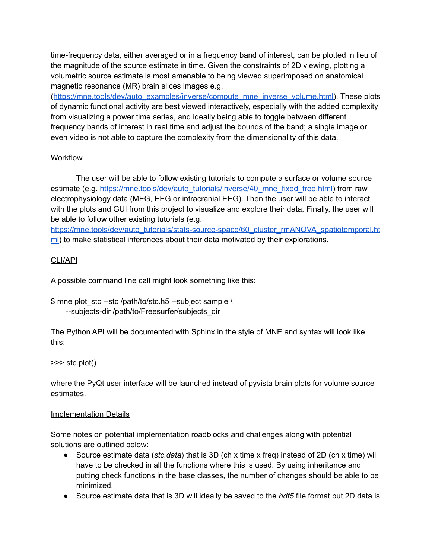time-frequency data, either averaged or in a frequency band of interest, can be plotted in lieu of the magnitude of the source estimate in time. Given the constraints of 2D viewing, plotting a volumetric source estimate is most amenable to being viewed superimposed on anatomical magnetic resonance (MR) brain slices images e.g.

([https://mne.tools/dev/auto\\_examples/inverse/compute\\_mne\\_inverse\\_volume.html\)](https://mne.tools/dev/auto_examples/inverse/compute_mne_inverse_volume.html#sphx-glr-auto-examples-inverse-compute-mne-inverse-volume-py). These plots of dynamic functional activity are best viewed interactively, especially with the added complexity from visualizing a power time series, and ideally being able to toggle between different frequency bands of interest in real time and adjust the bounds of the band; a single image or even video is not able to capture the complexity from the dimensionality of this data.

#### Workflow

The user will be able to follow existing tutorials to compute a surface or volume source estimate (e.g. [https://mne.tools/dev/auto\\_tutorials/inverse/40\\_mne\\_fixed\\_free.html\)](https://mne.tools/dev/auto_tutorials/inverse/40_mne_fixed_free.html) from raw electrophysiology data (MEG, EEG or intracranial EEG). Then the user will be able to interact with the plots and GUI from this project to visualize and explore their data. Finally, the user will be able to follow other existing tutorials (e.g.

[https://mne.tools/dev/auto\\_tutorials/stats-source-space/60\\_cluster\\_rmANOVA\\_spatiotemporal.ht](https://mne.tools/dev/auto_tutorials/stats-source-space/60_cluster_rmANOVA_spatiotemporal.html) [ml\)](https://mne.tools/dev/auto_tutorials/stats-source-space/60_cluster_rmANOVA_spatiotemporal.html) to make statistical inferences about their data motivated by their explorations.

### CLI/API

A possible command line call might look something like this:

\$ mne plot\_stc --stc /path/to/stc.h5 --subject sample \ --subjects-dir /path/to/Freesurfer/subjects\_dir

The Python API will be documented with Sphinx in the style of MNE and syntax will look like this:

#### >>> stc.plot()

where the PyQt user interface will be launched instead of pyvista brain plots for volume source estimates.

#### Implementation Details

Some notes on potential implementation roadblocks and challenges along with potential solutions are outlined below:

- Source estimate data (*stc.data*) that is 3D (ch x time x freq) instead of 2D (ch x time) will have to be checked in all the functions where this is used. By using inheritance and putting check functions in the base classes, the number of changes should be able to be minimized.
- Source estimate data that is 3D will ideally be saved to the *hdf5* file format but 2D data is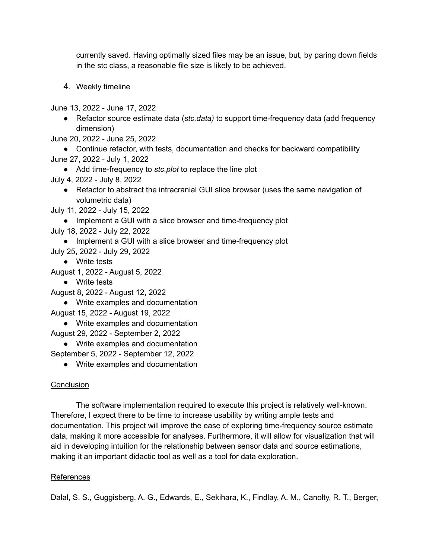currently saved. Having optimally sized files may be an issue, but, by paring down fields in the stc class, a reasonable file size is likely to be achieved.

4. Weekly timeline

June 13, 2022 - June 17, 2022

- Refactor source estimate data (*stc.data)* to support time-frequency data (add frequency dimension)
- June 20, 2022 June 25, 2022
- Continue refactor, with tests, documentation and checks for backward compatibility
- June 27, 2022 July 1, 2022
	- Add time-frequency to *stc.plot* to replace the line plot
- July 4, 2022 July 8, 2022
	- Refactor to abstract the intracranial GUI slice browser (uses the same navigation of volumetric data)
- July 11, 2022 July 15, 2022
	- Implement a GUI with a slice browser and time-frequency plot
- July 18, 2022 July 22, 2022
	- Implement a GUI with a slice browser and time-frequency plot
- July 25, 2022 July 29, 2022
	- Write tests
- August 1, 2022 August 5, 2022
	- Write tests
- August 8, 2022 August 12, 2022
	- Write examples and documentation

August 15, 2022 - August 19, 2022

- Write examples and documentation
- August 29, 2022 September 2, 2022
	- Write examples and documentation
- September 5, 2022 September 12, 2022
	- Write examples and documentation

#### **Conclusion**

The software implementation required to execute this project is relatively well-known. Therefore, I expect there to be time to increase usability by writing ample tests and documentation. This project will improve the ease of exploring time-frequency source estimate data, making it more accessible for analyses. Furthermore, it will allow for visualization that will aid in developing intuition for the relationship between sensor data and source estimations, making it an important didactic tool as well as a tool for data exploration.

#### **References**

Dalal, S. S., [Guggisberg,](https://www.zotero.org/google-docs/?rAok2x) A. G., Edwards, E., Sekihara, K., Findlay, A. M., Canolty, R. T., Berger,